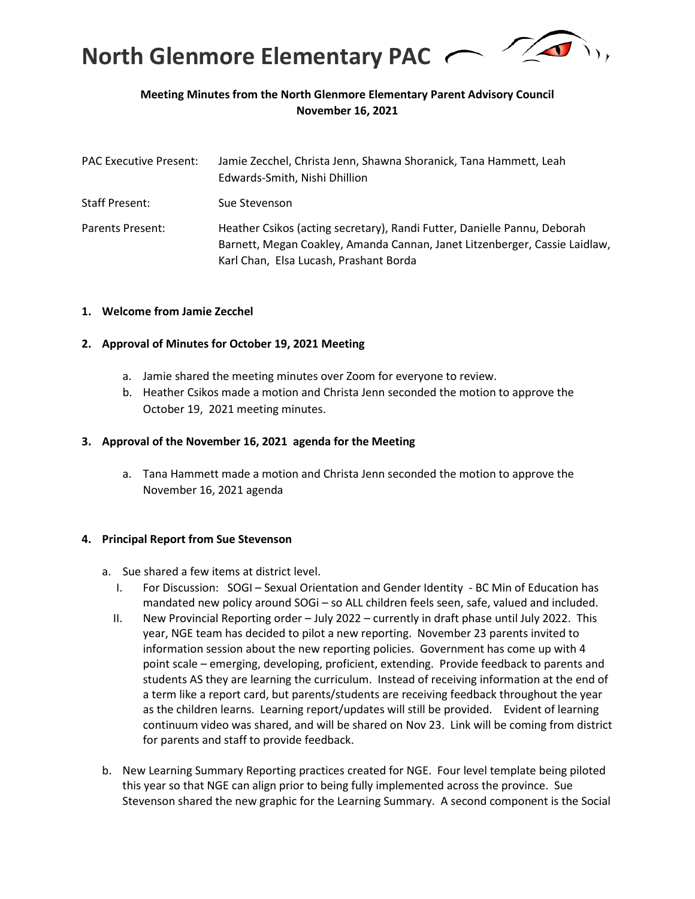

## **Meeting Minutes from the North Glenmore Elementary Parent Advisory Council November 16, 2021**

| <b>PAC Executive Present:</b> | Jamie Zecchel, Christa Jenn, Shawna Shoranick, Tana Hammett, Leah<br>Edwards-Smith, Nishi Dhillion                                                                                               |
|-------------------------------|--------------------------------------------------------------------------------------------------------------------------------------------------------------------------------------------------|
| <b>Staff Present:</b>         | Sue Stevenson                                                                                                                                                                                    |
| Parents Present:              | Heather Csikos (acting secretary), Randi Futter, Danielle Pannu, Deborah<br>Barnett, Megan Coakley, Amanda Cannan, Janet Litzenberger, Cassie Laidlaw,<br>Karl Chan, Elsa Lucash, Prashant Borda |

#### **1. Welcome from Jamie Zecchel**

#### **2. Approval of Minutes for October 19, 2021 Meeting**

- a. Jamie shared the meeting minutes over Zoom for everyone to review.
- b. Heather Csikos made a motion and Christa Jenn seconded the motion to approve the October 19, 2021 meeting minutes.

#### **3. Approval of the November 16, 2021 agenda for the Meeting**

a. Tana Hammett made a motion and Christa Jenn seconded the motion to approve the November 16, 2021 agenda

#### **4. Principal Report from Sue Stevenson**

- a. Sue shared a few items at district level.
	- I. For Discussion: SOGI Sexual Orientation and Gender Identity BC Min of Education has mandated new policy around SOGi – so ALL children feels seen, safe, valued and included.
	- II. New Provincial Reporting order July 2022 currently in draft phase until July 2022. This year, NGE team has decided to pilot a new reporting. November 23 parents invited to information session about the new reporting policies. Government has come up with 4 point scale – emerging, developing, proficient, extending. Provide feedback to parents and students AS they are learning the curriculum. Instead of receiving information at the end of a term like a report card, but parents/students are receiving feedback throughout the year as the children learns. Learning report/updates will still be provided. Evident of learning continuum video was shared, and will be shared on Nov 23. Link will be coming from district for parents and staff to provide feedback.
- b. New Learning Summary Reporting practices created for NGE. Four level template being piloted this year so that NGE can align prior to being fully implemented across the province. Sue Stevenson shared the new graphic for the Learning Summary. A second component is the Social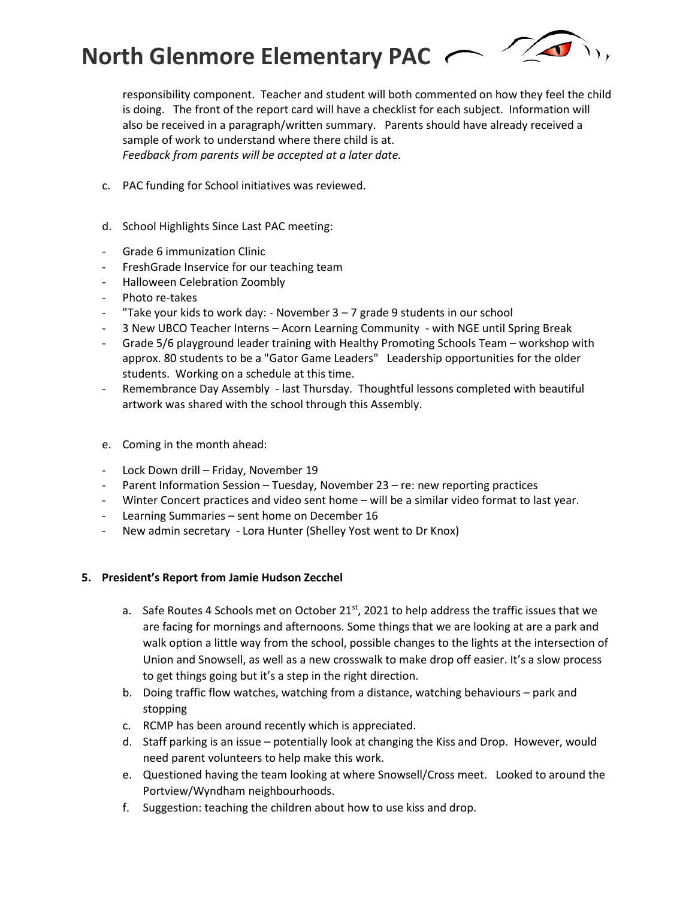**North Glenmore Elementary PAC**



responsibility component. Teacher and student will both commented on how they feel the child is doing. The front of the report card will have a checklist for each subject. Information will also be received in a paragraph/written summary. Parents should have already received a sample of work to understand where there child is at. *Feedback from parents will be accepted at a later date.* 

- c. PAC funding for School initiatives was reviewed.
- d. School Highlights Since Last PAC meeting:
- Grade 6 immunization Clinic
- FreshGrade Inservice for our teaching team
- Halloween Celebration Zoombly
- Photo re-takes
- "Take your kids to work day: November 3 7 grade 9 students in our school
- 3 New UBCO Teacher Interns Acorn Learning Community with NGE until Spring Break
- Grade 5/6 playground leader training with Healthy Promoting Schools Team workshop with approx. 80 students to be a "Gator Game Leaders" Leadership opportunities for the older students. Working on a schedule at this time.
- Remembrance Day Assembly last Thursday. Thoughtful lessons completed with beautiful artwork was shared with the school through this Assembly.
- e. Coming in the month ahead:
- Lock Down drill Friday, November 19
- Parent Information Session Tuesday, November 23 re: new reporting practices
- Winter Concert practices and video sent home will be a similar video format to last year.
- Learning Summaries sent home on December 16
- New admin secretary Lora Hunter (Shelley Yost went to Dr Knox)

#### **5. President's Report from Jamie Hudson Zecchel**

- a. Safe Routes 4 Schools met on October  $21^{st}$ , 2021 to help address the traffic issues that we are facing for mornings and afternoons. Some things that we are looking at are a park and walk option a little way from the school, possible changes to the lights at the intersection of Union and Snowsell, as well as a new crosswalk to make drop off easier. It's a slow process to get things going but it's a step in the right direction.
- b. Doing traffic flow watches, watching from a distance, watching behaviours park and stopping
- c. RCMP has been around recently which is appreciated.
- d. Staff parking is an issue potentially look at changing the Kiss and Drop. However, would need parent volunteers to help make this work.
- e. Questioned having the team looking at where Snowsell/Cross meet. Looked to around the Portview/Wyndham neighbourhoods.
- f. Suggestion: teaching the children about how to use kiss and drop.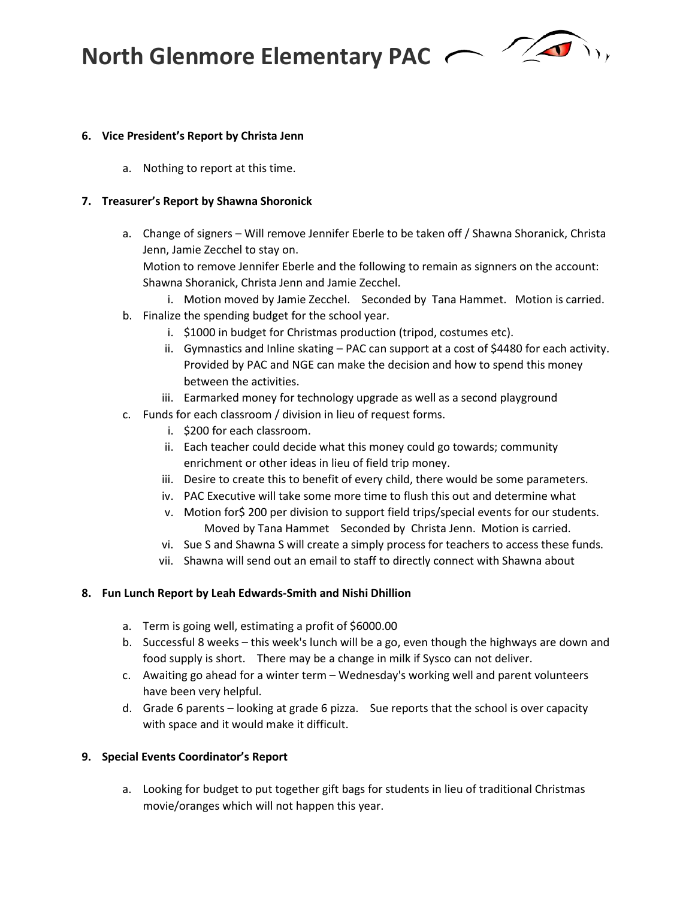**North Glenmore Elementary PAC** 



### **6. Vice President's Report by Christa Jenn**

a. Nothing to report at this time.

### **7. Treasurer's Report by Shawna Shoronick**

a. Change of signers – Will remove Jennifer Eberle to be taken off / Shawna Shoranick, Christa Jenn, Jamie Zecchel to stay on.

Motion to remove Jennifer Eberle and the following to remain as signners on the account: Shawna Shoranick, Christa Jenn and Jamie Zecchel.

- i. Motion moved by Jamie Zecchel. Seconded by Tana Hammet. Motion is carried.
- b. Finalize the spending budget for the school year.
	- i. \$1000 in budget for Christmas production (tripod, costumes etc).
	- ii. Gymnastics and Inline skating PAC can support at a cost of \$4480 for each activity. Provided by PAC and NGE can make the decision and how to spend this money between the activities.
	- iii. Earmarked money for technology upgrade as well as a second playground
- c. Funds for each classroom / division in lieu of request forms.
	- i. \$200 for each classroom.
	- ii. Each teacher could decide what this money could go towards; community enrichment or other ideas in lieu of field trip money.
	- iii. Desire to create this to benefit of every child, there would be some parameters.
	- iv. PAC Executive will take some more time to flush this out and determine what
	- v. Motion for\$ 200 per division to support field trips/special events for our students. Moved by Tana Hammet Seconded by Christa Jenn. Motion is carried.
	- vi. Sue S and Shawna S will create a simply process for teachers to access these funds.
	- vii. Shawna will send out an email to staff to directly connect with Shawna about

#### **8. Fun Lunch Report by Leah Edwards-Smith and Nishi Dhillion**

- a. Term is going well, estimating a profit of \$6000.00
- b. Successful 8 weeks this week's lunch will be a go, even though the highways are down and food supply is short. There may be a change in milk if Sysco can not deliver.
- c. Awaiting go ahead for a winter term Wednesday's working well and parent volunteers have been very helpful.
- d. Grade 6 parents looking at grade 6 pizza. Sue reports that the school is over capacity with space and it would make it difficult.

#### **9. Special Events Coordinator's Report**

a. Looking for budget to put together gift bags for students in lieu of traditional Christmas movie/oranges which will not happen this year.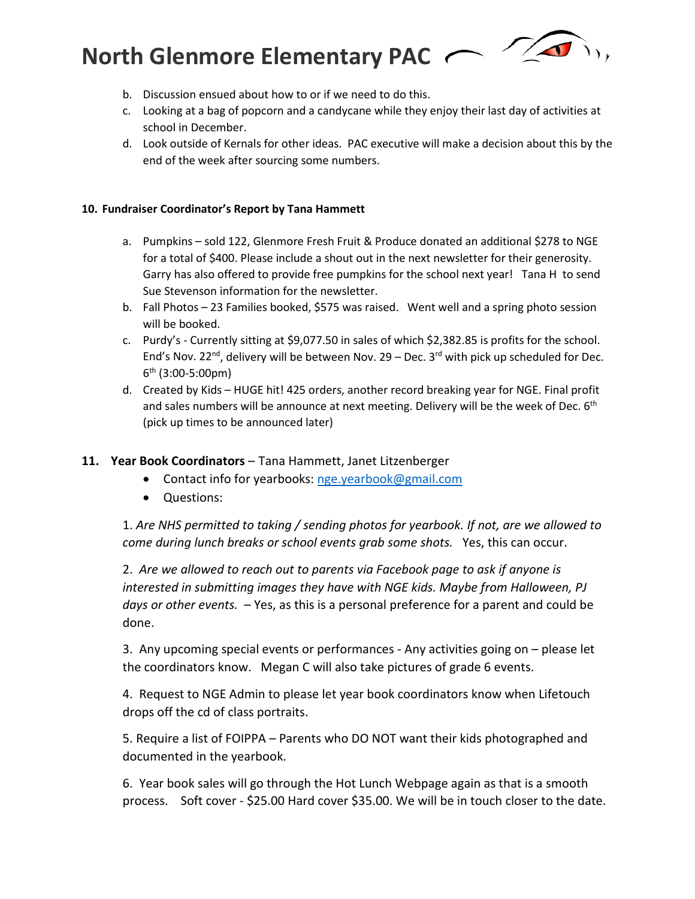# **North Glenmore Elementary PAC**



- b. Discussion ensued about how to or if we need to do this.
- c. Looking at a bag of popcorn and a candycane while they enjoy their last day of activities at school in December.
- d. Look outside of Kernals for other ideas. PAC executive will make a decision about this by the end of the week after sourcing some numbers.

## **10. Fundraiser Coordinator's Report by Tana Hammett**

- a. Pumpkins sold 122, Glenmore Fresh Fruit & Produce donated an additional \$278 to NGE for a total of \$400. Please include a shout out in the next newsletter for their generosity. Garry has also offered to provide free pumpkins for the school next year! Tana H to send Sue Stevenson information for the newsletter.
- b. Fall Photos 23 Families booked, \$575 was raised. Went well and a spring photo session will be booked.
- c. Purdy's Currently sitting at \$9,077.50 in sales of which \$2,382.85 is profits for the school. End's Nov. 22<sup>nd</sup>, delivery will be between Nov. 29 – Dec. 3<sup>rd</sup> with pick up scheduled for Dec. 6th (3:00-5:00pm)
- d. Created by Kids HUGE hit! 425 orders, another record breaking year for NGE. Final profit and sales numbers will be announce at next meeting. Delivery will be the week of Dec.  $6<sup>th</sup>$ (pick up times to be announced later)

## **11. Year Book Coordinators** – Tana Hammett, Janet Litzenberger

- Contact info for yearbooks: [nge.yearbook@gmail.com](mailto:nge.yearbook@gmail.com)
- Questions:

1. *Are NHS permitted to taking / sending photos for yearbook. If not, are we allowed to come during lunch breaks or school events grab some shots.* Yes, this can occur.

2. *Are we allowed to reach out to parents via Facebook page to ask if anyone is interested in submitting images they have with NGE kids. Maybe from Halloween, PJ days or other events.* – Yes, as this is a personal preference for a parent and could be done.

3. Any upcoming special events or performances - Any activities going on – please let the coordinators know. Megan C will also take pictures of grade 6 events.

4. Request to NGE Admin to please let year book coordinators know when Lifetouch drops off the cd of class portraits.

5. Require a list of FOIPPA – Parents who DO NOT want their kids photographed and documented in the yearbook.

6. Year book sales will go through the Hot Lunch Webpage again as that is a smooth process. Soft cover - \$25.00 Hard cover \$35.00. We will be in touch closer to the date.